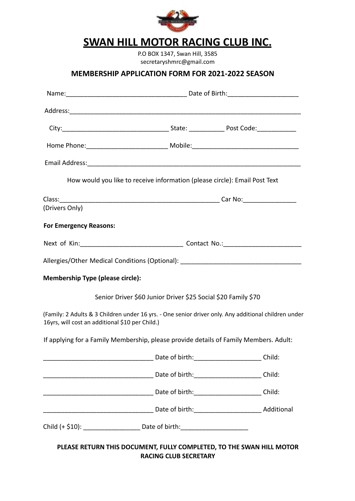

## **SWAN HILL MOTOR RACING CLUB INC.**

P.O BOX 1347, Swan Hill, 3585 secretaryshmrc@gmail.com

## **MEMBERSHIP APPLICATION FORM FOR 2021-2022 SEASON**

|                                                 | How would you like to receive information (please circle): Email Post Text                           |        |
|-------------------------------------------------|------------------------------------------------------------------------------------------------------|--------|
|                                                 |                                                                                                      |        |
| (Drivers Only)                                  |                                                                                                      |        |
| <b>For Emergency Reasons:</b>                   |                                                                                                      |        |
|                                                 |                                                                                                      |        |
|                                                 | Allergies/Other Medical Conditions (Optional): _________________________________                     |        |
| <b>Membership Type (please circle):</b>         |                                                                                                      |        |
|                                                 | Senior Driver \$60 Junior Driver \$25 Social \$20 Family \$70                                        |        |
| 16yrs, will cost an additional \$10 per Child.) | (Family: 2 Adults & 3 Children under 16 yrs. - One senior driver only. Any additional children under |        |
|                                                 | If applying for a Family Membership, please provide details of Family Members. Adult:                |        |
|                                                 |                                                                                                      | Child: |
|                                                 |                                                                                                      |        |
|                                                 |                                                                                                      |        |
|                                                 |                                                                                                      |        |
|                                                 |                                                                                                      |        |
|                                                 | PLEASE RETURN THIS DOCUMENT, FULLY COMPLETED, TO THE SWAN HILL MOTOR                                 |        |

**RACING CLUB SECRETARY**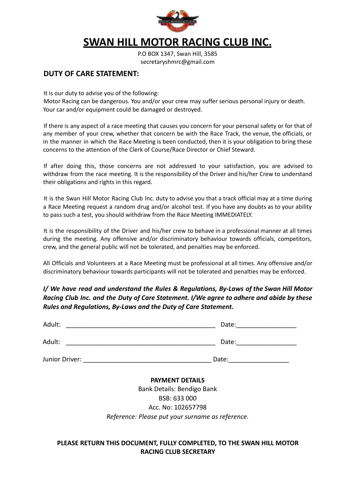

## **SWAN HILL MOTOR RACING CLUB INC.**

P.O BOX 1347, Swan Hill, 3585 secretaryshmrc@gmail.com

## **DUTY OF CARE STATEMENT:**

It is our duty to advise you of the following:

Motor Racing can be dangerous. You and/or your crew may suffer serious personal injury or death. Your car and/or equipment could be damaged or destroyed.

If there is any aspect of a race meeting that causes you concern for your personal safety or for that of any member of your crew, whether that concern be with the Race Track, the venue, the officials, or in the manner in which the Race Meeting is been conducted, then it is your obligation to bring these concerns to the attention of the Clerk of Course/Race Director or Chief Steward.

If after doing this, those concerns are not addressed to your satisfaction, you are advised to withdraw from the race meeting. It is the responsibility of the Driver and his/her Crew to understand their obligations and rights in this regard.

It is the Swan Hill Motor Racing Club Inc. duty to advise you that a track official may at a time during a Race Meeting request a random drug and/or alcohol test. If you have any doubts as to your ability to pass such a test, you should withdraw from the Race Meeting IMMEDIATELY.

It is the responsibility of the Driver and his/her crew to behave in a professional manner at all times during the meeting. Any offensive and/or discriminatory behaviour towards officials, competitors, crew, and the general public will not be tolerated, and penalties may be enforced.

All Officials and Volunteers at a Race Meeting must be professional at all times. Any offensive and/or discriminatory behaviour towards participants will not be tolerated and penalties may be enforced.

*I/ We have read and understand the Rules & Regulations, By-Laws of the Swan Hill Motor Racing Club Inc. and the Duty of Care Statement. I/We agree to adhere and abide by these Rules and Regulations, By-Laws and the Duty of Care Statement.*

| Adult:         | Date: |
|----------------|-------|
| Adult:         | Date: |
| Junior Driver: | Date: |

#### **PAYMENT DETAILS**

Bank Details: Bendigo Bank BSB: 633 000 Acc. No: 102657798 *Reference: Please put your surname as reference.*

### **PLEASE RETURN THIS DOCUMENT, FULLY COMPLETED, TO THE SWAN HILL MOTOR RACING CLUB SECRETARY**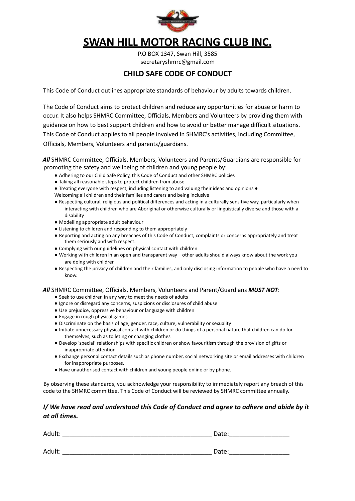

# **SWAN HILL MOTOR RACING CLUB INC.**

P.O BOX 1347, Swan Hill, 3585 secretaryshmrc@gmail.com

## **CHILD SAFE CODE OF CONDUCT**

This Code of Conduct outlines appropriate standards of behaviour by adults towards children.

The Code of Conduct aims to protect children and reduce any opportunities for abuse or harm to occur. It also helps SHMRC Committee, Officials, Members and Volunteers by providing them with guidance on how to best support children and how to avoid or better manage difficult situations. This Code of Conduct applies to all people involved in SHMRC's activities, including Committee, Officials, Members, Volunteers and parents/guardians.

*All* SHMRC Committee, Officials, Members, Volunteers and Parents/Guardians are responsible for promoting the safety and wellbeing of children and young people by:

- Adhering to our Child Safe Policy, this Code of Conduct and other SHMRC policies
- Taking all reasonable steps to protect children from abuse
- Treating everyone with respect, including listening to and valuing their ideas and opinions ●

Welcoming all children and their families and carers and being inclusive

- Respecting cultural, religious and political differences and acting in a culturally sensitive way, particularly when interacting with children who are Aboriginal or otherwise culturally or linguistically diverse and those with a disability
- Modelling appropriate adult behaviour
- Listening to children and responding to them appropriately
- Reporting and acting on any breaches of this Code of Conduct, complaints or concerns appropriately and treat them seriously and with respect.
- Complying with our guidelines on physical contact with children
- Working with children in an open and transparent way other adults should always know about the work you are doing with children
- Respecting the privacy of children and their families, and only disclosing information to people who have a need to know.

#### *All* SHMRC Committee, Officials, Members, Volunteers and Parent/Guardians *MUST NOT*:

- Seek to use children in any way to meet the needs of adults
- Ignore or disregard any concerns, suspicions or disclosures of child abuse
- Use prejudice, oppressive behaviour or language with children
- Engage in rough physical games
- Discriminate on the basis of age, gender, race, culture, vulnerability or sexuality
- Initiate unnecessary physical contact with children or do things of a personal nature that children can do for themselves, such as toileting or changing clothes
- Develop 'special' relationships with specific children or show favouritism through the provision of gifts or inappropriate attention
- Exchange personal contact details such as phone number, social networking site or email addresses with children for inappropriate purposes.
- Have unauthorised contact with children and young people online or by phone.

By observing these standards, you acknowledge your responsibility to immediately report any breach of this code to the SHMRC committee. This Code of Conduct will be reviewed by SHMRC committee annually.

#### *I/ We have read and understood this Code of Conduct and agree to adhere and abide by it at all times.*

| Adult: | Date: |  |
|--------|-------|--|
|        |       |  |
| Adult: | Date: |  |